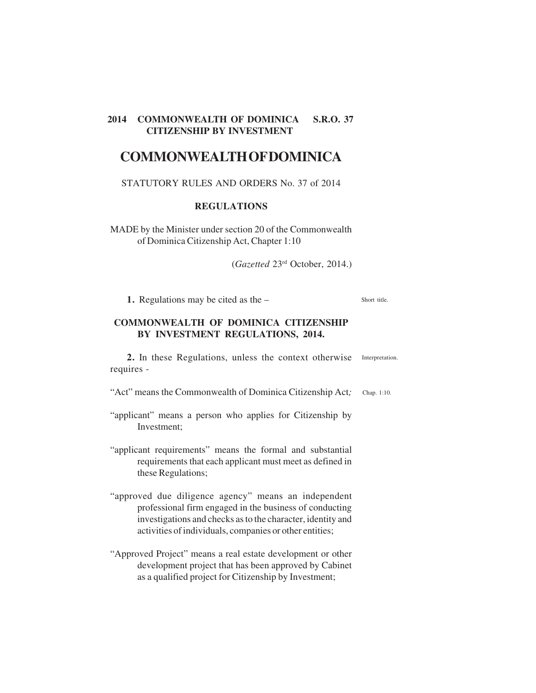# **COMMONWEALTH OF DOMINICA**

#### STATUTORY RULES AND ORDERS No. 37 of 2014

#### **REGULATIONS**

MADE by the Minister under section 20 of the Commonwealth of Dominica Citizenship Act, Chapter 1:10

(*Gazetted* 23rd October, 2014.)

**1.** Regulations may be cited as the – Short title.

# **COMMONWEALTH OF DOMINICA CITIZENSHIP BY INVESTMENT REGULATIONS, 2014.**

2. In these Regulations, unless the context otherwise Interpretation. requires -

"Act" means the Commonwealth of Dominica Citizenship Act*;* Chap. 1:10.

- "applicant" means a person who applies for Citizenship by Investment;
- "applicant requirements" means the formal and substantial requirements that each applicant must meet as defined in these Regulations;
- "approved due diligence agency" means an independent professional firm engaged in the business of conducting investigations and checks as to the character, identity and activities of individuals, companies or other entities;
- "Approved Project" means a real estate development or other development project that has been approved by Cabinet as a qualified project for Citizenship by Investment;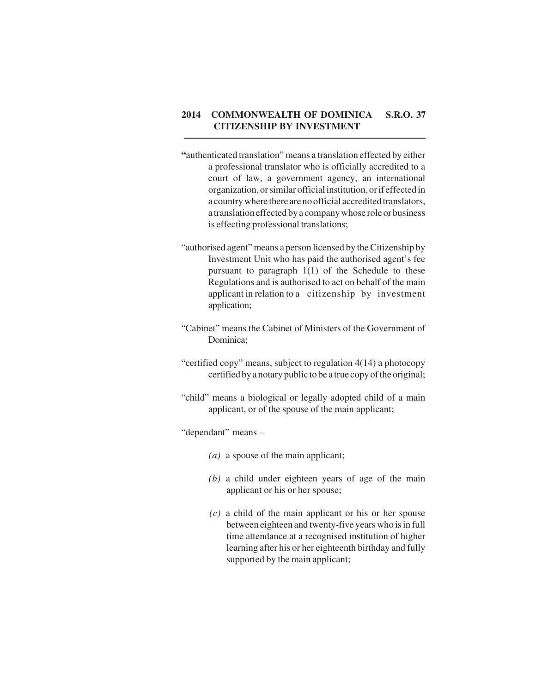- **"**authenticated translation" means a translation effected by either a professional translator who is officially accredited to a court of law, a government agency, an international organization, or similar official institution, or if effected in a country where there are no official accredited translators, a translation effected by a company whose role or business is effecting professional translations;
- "authorised agent" means a person licensed by the Citizenship by Investment Unit who has paid the authorised agent's fee pursuant to paragraph 1(1) of the Schedule to these Regulations and is authorised to act on behalf of the main applicant in relation to a citizenship by investment application;
- "Cabinet" means the Cabinet of Ministers of the Government of Dominica;
- "certified copy" means, subject to regulation 4(14) a photocopy certified by a notary public to be a true copy of the original;
- "child" means a biological or legally adopted child of a main applicant, or of the spouse of the main applicant;

"dependant" means –

- *(a)* a spouse of the main applicant;
- *(b)* a child under eighteen years of age of the main applicant or his or her spouse;
- *(c)* a child of the main applicant or his or her spouse between eighteen and twenty-five years who is in full time attendance at a recognised institution of higher learning after his or her eighteenth birthday and fully supported by the main applicant;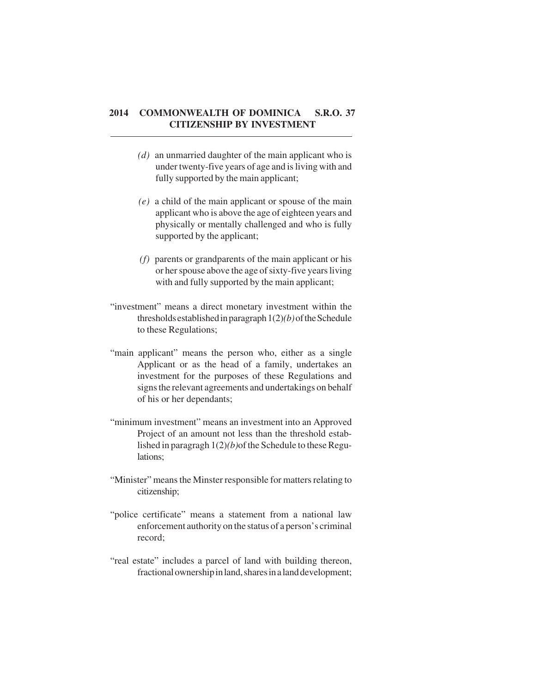- *(d)* an unmarried daughter of the main applicant who is under twenty-five years of age and is living with and fully supported by the main applicant;
- *(e)* a child of the main applicant or spouse of the main applicant who is above the age of eighteen years and physically or mentally challenged and who is fully supported by the applicant;
- *(f)* parents or grandparents of the main applicant or his or her spouse above the age of sixty-five years living with and fully supported by the main applicant;
- "investment" means a direct monetary investment within the thresholds established in paragraph 1(2)*(b)* of the Schedule to these Regulations;
- "main applicant" means the person who, either as a single Applicant or as the head of a family, undertakes an investment for the purposes of these Regulations and signs the relevant agreements and undertakings on behalf of his or her dependants;
- "minimum investment" means an investment into an Approved Project of an amount not less than the threshold established in paragragh 1(2)*(b)*of the Schedule to these Regulations;
- "Minister" means the Minster responsible for matters relating to citizenship;
- "police certificate" means a statement from a national law enforcement authority on the status of a person's criminal record;
- "real estate" includes a parcel of land with building thereon, fractional ownership in land, shares in a land development;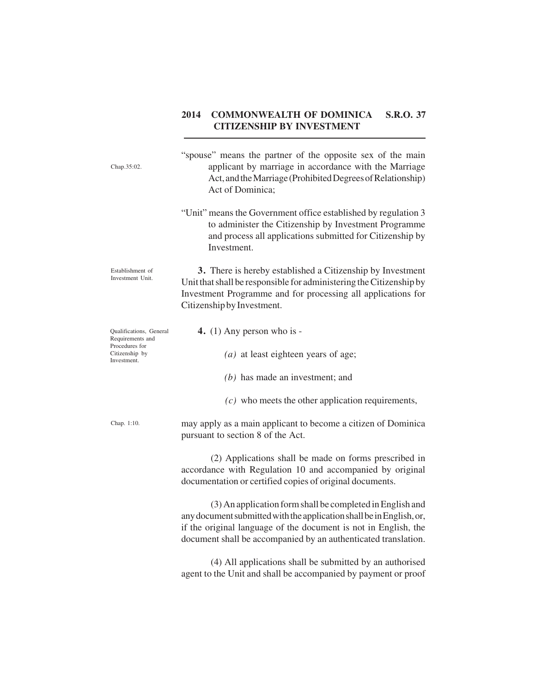| Chap.35:02.                                                                                    | "spouse" means the partner of the opposite sex of the main<br>applicant by marriage in accordance with the Marriage<br>Act, and the Marriage (Prohibited Degrees of Relationship)<br>Act of Dominica;                                                                  |
|------------------------------------------------------------------------------------------------|------------------------------------------------------------------------------------------------------------------------------------------------------------------------------------------------------------------------------------------------------------------------|
|                                                                                                | "Unit" means the Government office established by regulation 3<br>to administer the Citizenship by Investment Programme<br>and process all applications submitted for Citizenship by<br>Investment.                                                                    |
| Establishment of<br>Investment Unit.                                                           | 3. There is hereby established a Citizenship by Investment<br>Unit that shall be responsible for administering the Citizenship by<br>Investment Programme and for processing all applications for<br>Citizenship by Investment.                                        |
| Qualifications, General<br>Requirements and<br>Procedures for<br>Citizenship by<br>Investment. | 4. $(1)$ Any person who is -                                                                                                                                                                                                                                           |
|                                                                                                | $(a)$ at least eighteen years of age;                                                                                                                                                                                                                                  |
|                                                                                                | $(b)$ has made an investment; and                                                                                                                                                                                                                                      |
|                                                                                                | $(c)$ who meets the other application requirements,                                                                                                                                                                                                                    |
| Chap. 1:10.                                                                                    | may apply as a main applicant to become a citizen of Dominica<br>pursuant to section 8 of the Act.                                                                                                                                                                     |
|                                                                                                | (2) Applications shall be made on forms prescribed in<br>accordance with Regulation 10 and accompanied by original<br>documentation or certified copies of original documents.                                                                                         |
|                                                                                                | (3) An application form shall be completed in English and<br>any document submitted with the application shall be in English, or,<br>if the original language of the document is not in English, the<br>document shall be accompanied by an authenticated translation. |
|                                                                                                | (4) All applications shall be submitted by an authorised<br>agent to the Unit and shall be accompanied by payment or proof                                                                                                                                             |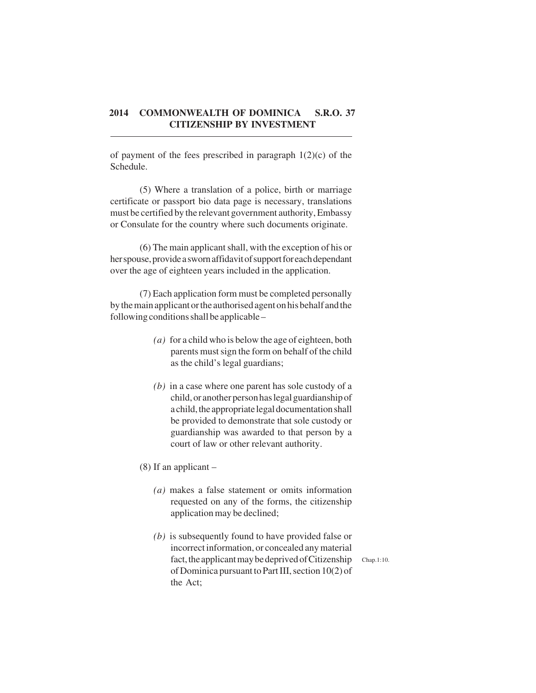of payment of the fees prescribed in paragraph  $1(2)(c)$  of the Schedule.

(5) Where a translation of a police, birth or marriage certificate or passport bio data page is necessary, translations must be certified by the relevant government authority, Embassy or Consulate for the country where such documents originate.

(6) The main applicant shall, with the exception of his or her spouse, provide a sworn affidavit of support for each dependant over the age of eighteen years included in the application.

(7) Each application form must be completed personally by the main applicant or the authorised agenton his behalf and the following conditions shall be applicable –

- *(a)* for a child who is below the age of eighteen, both parents must sign the form on behalf of the child as the child's legal guardians;
- *(b)* in a case where one parent has sole custody of a child, or another person has legal guardianship of a child, the appropriate legal documentation shall be provided to demonstrate that sole custody or guardianship was awarded to that person by a court of law or other relevant authority.

(8) If an applicant –

- *(a)* makes a false statement or omits information requested on any of the forms, the citizenship application may be declined;
- *(b)* is subsequently found to have provided false or incorrect information, or concealed any material fact, the applicant may be deprived of Citizenship of Dominica pursuant to Part III, section 10(2) of the Act;

Chap.1:10.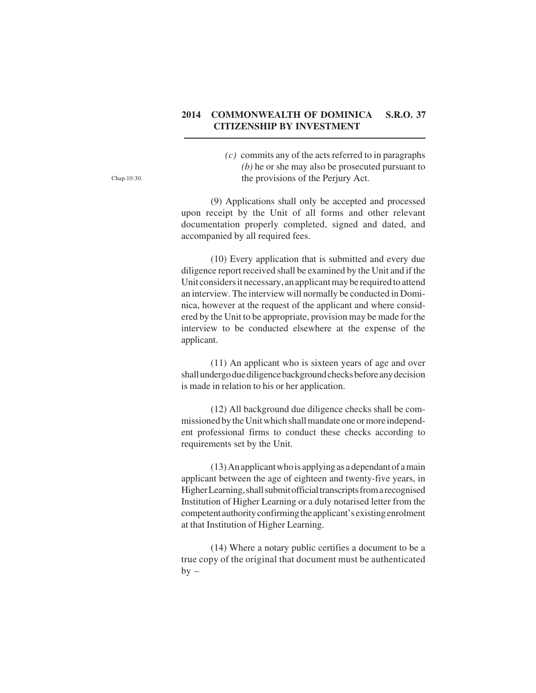*(c)* commits any of the acts referred to in paragraphs *(b)* he or she may also be prosecuted pursuant to the provisions of the Perjury Act.

(9) Applications shall only be accepted and processed upon receipt by the Unit of all forms and other relevant documentation properly completed, signed and dated, and accompanied by all required fees.

(10) Every application that is submitted and every due diligence report received shall be examined by the Unit and if the Unit considers it necessary, an applicant may be required to attend an interview. The interview will normally be conducted in Dominica, however at the request of the applicant and where considered by the Unit to be appropriate, provision may be made for the interview to be conducted elsewhere at the expense of the applicant.

(11) An applicant who is sixteen years of age and over shall undergo due diligence background checks before any decision is made in relation to his or her application.

(12) All background due diligence checks shall be commissioned by the Unit which shall mandate one or more independent professional firms to conduct these checks according to requirements set by the Unit.

(13) An applicant who is applying as a dependant of a main applicant between the age of eighteen and twenty-five years, in Higher Learning, shall submit official transcripts from a recognised Institution of Higher Learning or a duly notarised letter from the competent authority confirming the applicant's existing enrolment at that Institution of Higher Learning.

(14) Where a notary public certifies a document to be a true copy of the original that document must be authenticated  $by -$ 

Chap.10:30.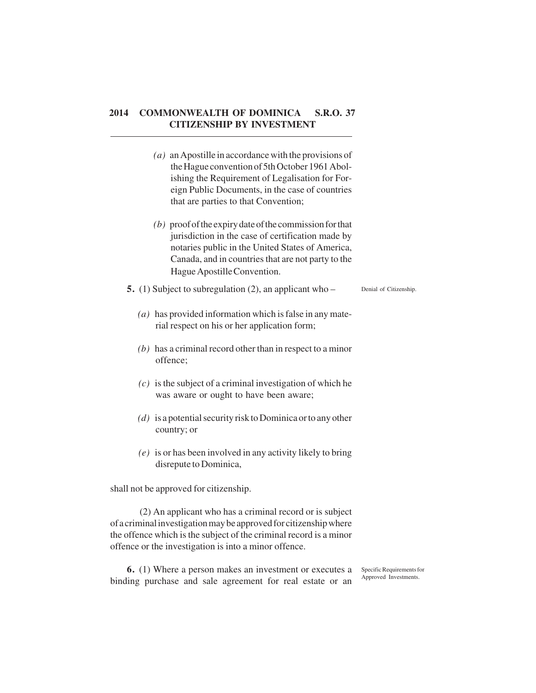- *(a)* an Apostille in accordance with the provisions of the Hague convention of 5th October 1961 Abolishing the Requirement of Legalisation for Foreign Public Documents, in the case of countries that are parties to that Convention;
- *(b)* proof of the expiry date of the commission for that jurisdiction in the case of certification made by notaries public in the United States of America, Canada, and in countries that are not party to the Hague Apostille Convention.
- **5.** (1) Subject to subregulation (2), an applicant who Denial of Citizenship.
	- *(a)* has provided information which is false in any material respect on his or her application form;
	- *(b)* has a criminal record other than in respect to a minor offence;
	- *(c)* is the subject of a criminal investigation of which he was aware or ought to have been aware;
	- *(d)* is a potential security risk to Dominica or to any other country; or
	- *(e)* is or has been involved in any activity likely to bring disrepute to Dominica,

shall not be approved for citizenship.

(2) An applicant who has a criminal record or is subject of a criminal investigation may be approved for citizenship where the offence which is the subject of the criminal record is a minor offence or the investigation is into a minor offence.

**6.** (1) Where a person makes an investment or executes a binding purchase and sale agreement for real estate or an Specific Requirements for Approved Investments.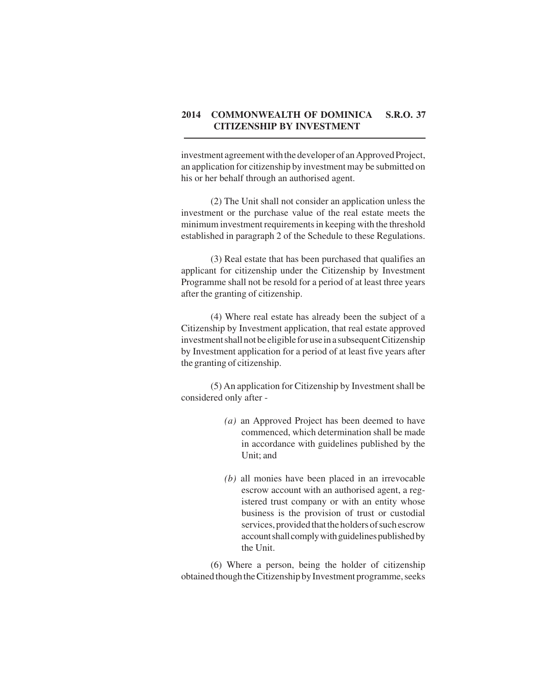investment agreement with the developer of an Approved Project, an application for citizenship by investment may be submitted on his or her behalf through an authorised agent.

(2) The Unit shall not consider an application unless the investment or the purchase value of the real estate meets the minimum investment requirements in keeping with the threshold established in paragraph 2 of the Schedule to these Regulations.

(3) Real estate that has been purchased that qualifies an applicant for citizenship under the Citizenship by Investment Programme shall not be resold for a period of at least three years after the granting of citizenship.

(4) Where real estate has already been the subject of a Citizenship by Investment application, that real estate approved investment shall not be eligible for use in a subsequent Citizenship by Investment application for a period of at least five years after the granting of citizenship.

(5) An application for Citizenship by Investment shall be considered only after -

- *(a)* an Approved Project has been deemed to have commenced, which determination shall be made in accordance with guidelines published by the Unit; and
- *(b)* all monies have been placed in an irrevocable escrow account with an authorised agent, a registered trust company or with an entity whose business is the provision of trust or custodial services, provided that the holders of such escrow account shall comply with guidelines published by the Unit.

(6) Where a person, being the holder of citizenship obtained though the Citizenship by Investment programme, seeks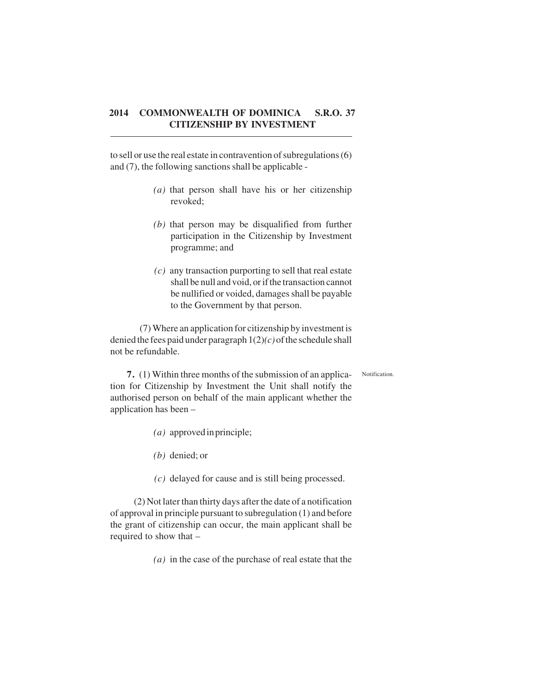to sell or use the real estate in contravention of subregulations (6) and (7), the following sanctions shall be applicable -

- *(a)* that person shall have his or her citizenship revoked;
- *(b)* that person may be disqualified from further participation in the Citizenship by Investment programme; and
- *(c)* any transaction purporting to sell that real estate shall be null and void, or if the transaction cannot be nullified or voided, damages shall be payable to the Government by that person.

(7) Where an application for citizenship by investment is denied the fees paid under paragraph 1(2)*(c)* of the schedule shall not be refundable.

Notification.

**7.** (1) Within three months of the submission of an application for Citizenship by Investment the Unit shall notify the authorised person on behalf of the main applicant whether the application has been –

- *(a)* approved in principle;
- *(b)* denied; or
- *(c)* delayed for cause and is still being processed.

(2) Not later than thirty days after the date of a notification of approval in principle pursuant to subregulation (1) and before the grant of citizenship can occur, the main applicant shall be required to show that –

*(a)* in the case of the purchase of real estate that the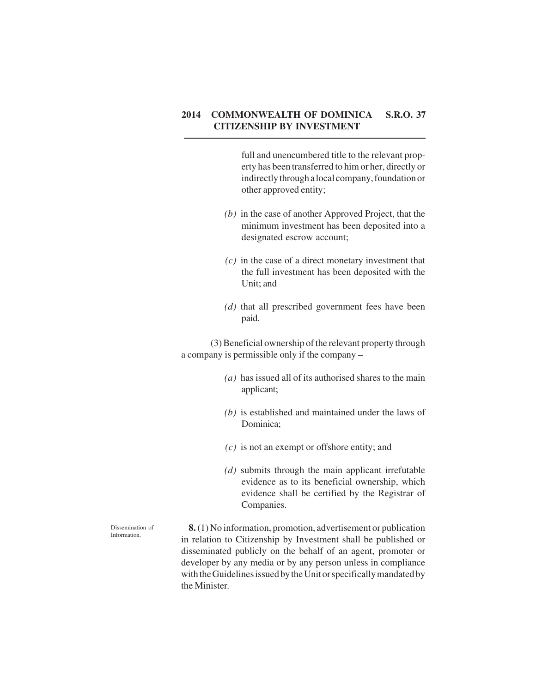full and unencumbered title to the relevant property has been transferred to him or her, directly or indirectly through a local company, foundation or other approved entity;

- *(b)* in the case of another Approved Project, that the minimum investment has been deposited into a designated escrow account;
- *(c)* in the case of a direct monetary investment that the full investment has been deposited with the Unit; and
- *(d)* that all prescribed government fees have been paid.

(3) Beneficial ownership of the relevant property through a company is permissible only if the company –

- *(a)* has issued all of its authorised shares to the main applicant;
- *(b)* is established and maintained under the laws of Dominica;
- *(c)* is not an exempt or offshore entity; and
- *(d)* submits through the main applicant irrefutable evidence as to its beneficial ownership, which evidence shall be certified by the Registrar of Companies.

 **8.** (1) No information, promotion, advertisement or publication in relation to Citizenship by Investment shall be published or disseminated publicly on the behalf of an agent, promoter or developer by any media or by any person unless in compliance with the Guidelines issued by the Unit or specifically mandated by the Minister*.*

Dissemination of Information.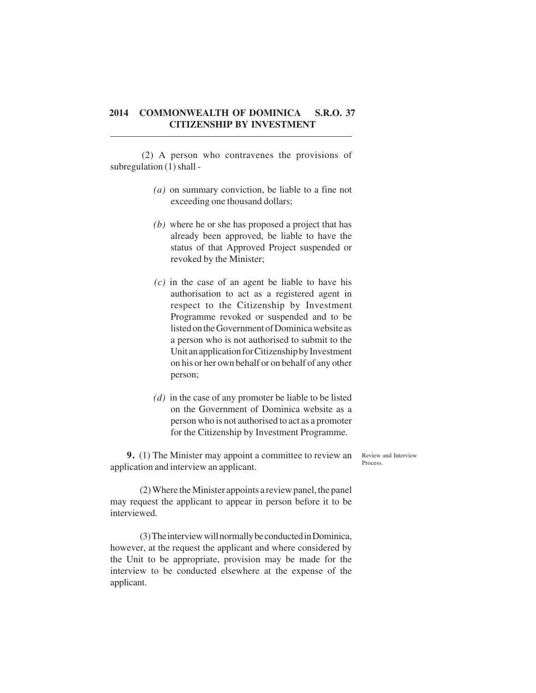(2) A person who contravenes the provisions of subregulation (1) shall -

- *(a)* on summary conviction, be liable to a fine not exceeding one thousand dollars;
- *(b)* where he or she has proposed a project that has already been approved, be liable to have the status of that Approved Project suspended or revoked by the Minister;
- *(c)* in the case of an agent be liable to have his authorisation to act as a registered agent in respect to the Citizenship by Investment Programme revoked or suspended and to be listed on the Government of Dominica website as a person who is not authorised to submit to the Unit an application for Citizenship by Investment on his or her own behalf or on behalf of any other person;
- *(d)* in the case of any promoter be liable to be listed on the Government of Dominica website as a person who is not authorised to act as a promoter for the Citizenship by Investment Programme.

**9.** (1) The Minister may appoint a committee to review an application and interview an applicant.

Review and Interview Process.

(2) Where the Minister appoints a review panel, the panel may request the applicant to appear in person before it to be interviewed.

(3) The interview will normally be conducted in Dominica, however, at the request the applicant and where considered by the Unit to be appropriate, provision may be made for the interview to be conducted elsewhere at the expense of the applicant.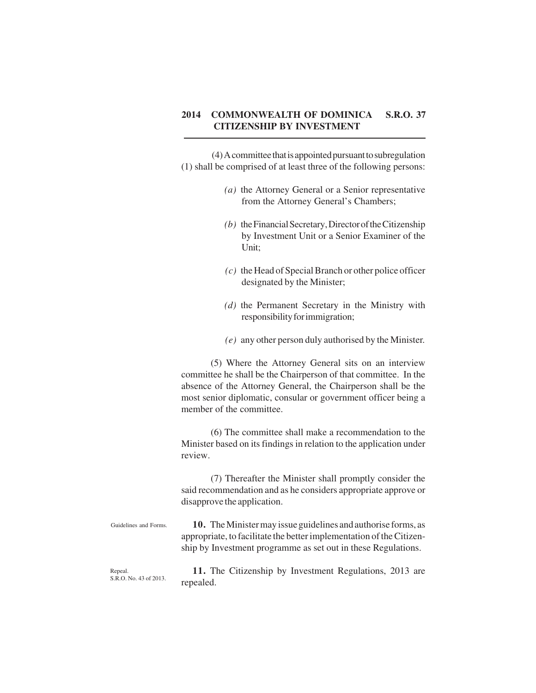(4) A committee that is appointed pursuant to subregulation (1) shall be comprised of at least three of the following persons:

- *(a)* the Attorney General or a Senior representative from the Attorney General's Chambers;
- *(b)* the Financial Secretary, Director of the Citizenship by Investment Unit or a Senior Examiner of the Unit;
- *(c)* the Head of Special Branch or other police officer designated by the Minister;
- *(d)* the Permanent Secretary in the Ministry with responsibility for immigration;
- *(e)* any other person duly authorised by the Minister*.*

(5) Where the Attorney General sits on an interview committee he shall be the Chairperson of that committee. In the absence of the Attorney General, the Chairperson shall be the most senior diplomatic, consular or government officer being a member of the committee.

(6) The committee shall make a recommendation to the Minister based on its findings in relation to the application under review.

(7) Thereafter the Minister shall promptly consider the said recommendation and as he considers appropriate approve or disapprove the application.

Guidelines and Forms.

**10.** The Minister may issue guidelines and authorise forms, as appropriate, to facilitate the better implementation of the Citizenship by Investment programme as set out in these Regulations.

Repeal. S.R.O. No. 43 of 2013.

**11.** The Citizenship by Investment Regulations, 2013 are repealed.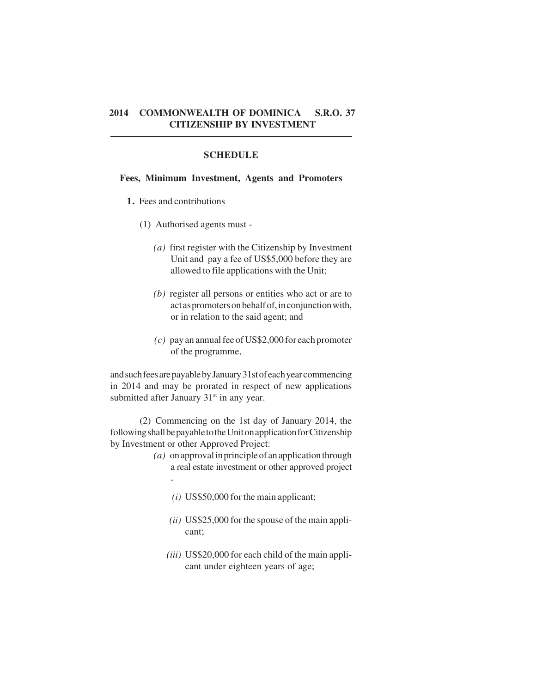#### **SCHEDULE**

#### **Fees, Minimum Investment, Agents and Promoters**

- **1.** Fees and contributions
	- (1) Authorised agents must
		- *(a)* first register with the Citizenship by Investment Unit and pay a fee of US\$5,000 before they are allowed to file applications with the Unit;
		- *(b)* register all persons or entities who act or are to act as promoters on behalf of, in conjunction with, or in relation to the said agent; and
		- *(c)* pay an annual fee of US\$2,000 for each promoter of the programme,

and such fees are payable by January 31st of each year commencing in 2014 and may be prorated in respect of new applications submitted after January  $31<sup>st</sup>$  in any year.

(2) Commencing on the 1st day of January 2014, the following shall be payable to the Unit on application for Citizenship by Investment or other Approved Project:

- *(a)* on approval in principle of an application through a real estate investment or other approved project -
	- *(i)* US\$50,000 for the main applicant;
	- *(ii)* US\$25,000 for the spouse of the main applicant;
	- *(iii)* US\$20,000 for each child of the main applicant under eighteen years of age;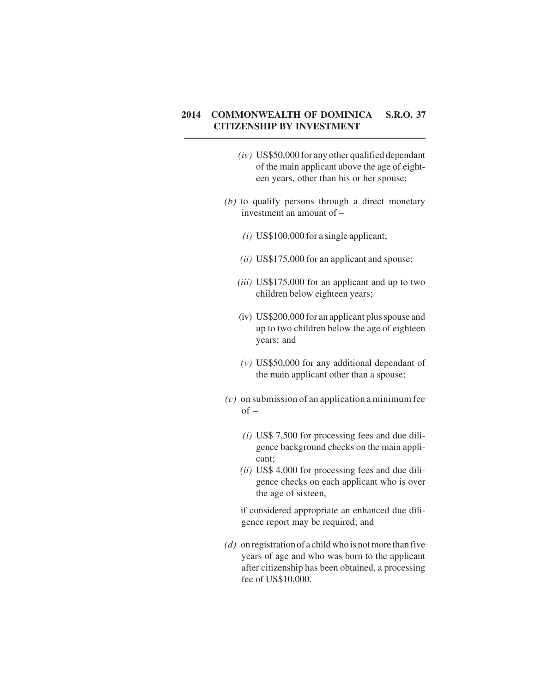- *(iv)* US\$50,000 for any other qualified dependant of the main applicant above the age of eighteen years, other than his or her spouse;
- *(b)* to qualify persons through a direct monetary investment an amount of –
	- *(i)* US\$100,000 for a single applicant;
	- *(ii)* US\$175,000 for an applicant and spouse;
	- *(iii)* US\$175,000 for an applicant and up to two children below eighteen years;
	- (iv) US\$200,000 for an applicant plus spouse and up to two children below the age of eighteen years; and
	- *(v)* US\$50,000 for any additional dependant of the main applicant other than a spouse;
- *(c)* on submission of an application a minimum fee  $of -$ 
	- *(i)* US\$ 7,500 for processing fees and due diligence background checks on the main applicant;
	- *(ii)* US\$ 4,000 for processing fees and due diligence checks on each applicant who is over the age of sixteen,

if considered appropriate an enhanced due diligence report may be required; and

*(d)* on registration of a child who is not more than five years of age and who was born to the applicant after citizenship has been obtained, a processing fee of US\$10,000.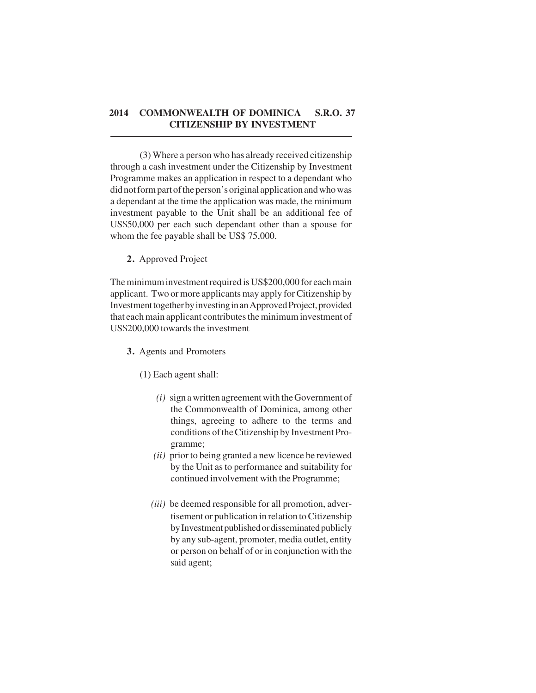(3) Where a person who has already received citizenship through a cash investment under the Citizenship by Investment Programme makes an application in respect to a dependant who did not form part of the person's original application and who was a dependant at the time the application was made, the minimum investment payable to the Unit shall be an additional fee of US\$50,000 per each such dependant other than a spouse for whom the fee payable shall be US\$ 75,000.

#### **2.** Approved Project

The minimum investment required is US\$200,000 for each main applicant. Two or more applicants may apply for Citizenship by Investment together by investing in an Approved Project, provided that each main applicant contributes the minimum investment of US\$200,000 towards the investment

**3.** Agents and Promoters

(1) Each agent shall:

- *(i)* sign a written agreement with the Government of the Commonwealth of Dominica, among other things, agreeing to adhere to the terms and conditions of the Citizenship by Investment Programme;
- *(ii)* prior to being granted a new licence be reviewed by the Unit as to performance and suitability for continued involvement with the Programme;
- *(iii)* be deemed responsible for all promotion, advertisement or publication in relation to Citizenship by Investment published or disseminated publicly by any sub-agent, promoter, media outlet, entity or person on behalf of or in conjunction with the said agent;